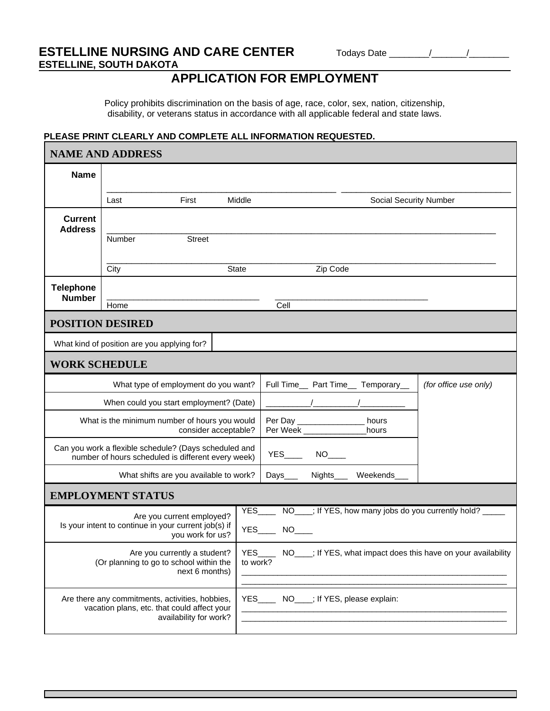## **ESTELLINE NURSING AND CARE CENTER** Todays Date \_\_\_\_\_\_\_\_\_\_\_\_\_\_\_\_\_\_\_\_\_\_\_\_\_\_\_\_\_\_\_\_\_ **ESTELLINE, SOUTH DAKOTA**

# **APPLICATION FOR EMPLOYMENT**

Policy prohibits discrimination on the basis of age, race, color, sex, nation, citizenship, disability, or veterans status in accordance with all applicable federal and state laws.

#### **PLEASE PRINT CLEARLY AND COMPLETE ALL INFORMATION REQUESTED.**

| <b>NAME AND ADDRESS</b>                                                                                                      |                                                                                                                             |                                                                                                                          |        |                                            |          |                                                                                                                  |                                                                           |
|------------------------------------------------------------------------------------------------------------------------------|-----------------------------------------------------------------------------------------------------------------------------|--------------------------------------------------------------------------------------------------------------------------|--------|--------------------------------------------|----------|------------------------------------------------------------------------------------------------------------------|---------------------------------------------------------------------------|
| <b>Name</b>                                                                                                                  |                                                                                                                             |                                                                                                                          |        |                                            |          |                                                                                                                  |                                                                           |
|                                                                                                                              | Last                                                                                                                        | First                                                                                                                    | Middle |                                            |          | Social Security Number                                                                                           |                                                                           |
| <b>Current</b><br><b>Address</b>                                                                                             | Number                                                                                                                      | <b>Street</b>                                                                                                            |        |                                            |          |                                                                                                                  |                                                                           |
|                                                                                                                              | City                                                                                                                        |                                                                                                                          | State  |                                            | Zip Code |                                                                                                                  |                                                                           |
| <b>Telephone</b><br><b>Number</b>                                                                                            | Home                                                                                                                        |                                                                                                                          |        | Cell                                       |          |                                                                                                                  |                                                                           |
|                                                                                                                              | <b>POSITION DESIRED</b>                                                                                                     |                                                                                                                          |        |                                            |          |                                                                                                                  |                                                                           |
|                                                                                                                              | What kind of position are you applying for?                                                                                 |                                                                                                                          |        |                                            |          |                                                                                                                  |                                                                           |
| <b>WORK SCHEDULE</b>                                                                                                         |                                                                                                                             |                                                                                                                          |        |                                            |          |                                                                                                                  |                                                                           |
|                                                                                                                              |                                                                                                                             | What type of employment do you want?                                                                                     |        |                                            |          | Full Time__ Part Time__ Temporary__                                                                              | (for office use only)                                                     |
|                                                                                                                              |                                                                                                                             | When could you start employment? (Date)                                                                                  |        |                                            |          |                                                                                                                  |                                                                           |
| What is the minimum number of hours you would<br>Per Day ________________ hours<br>Per Week<br>hours<br>consider acceptable? |                                                                                                                             |                                                                                                                          |        |                                            |          |                                                                                                                  |                                                                           |
|                                                                                                                              | Can you work a flexible schedule? (Days scheduled and<br>$YES$ NO____<br>number of hours scheduled is different every week) |                                                                                                                          |        |                                            |          |                                                                                                                  |                                                                           |
|                                                                                                                              | What shifts are you available to work?<br>Nights____ Weekends_<br>Days___                                                   |                                                                                                                          |        |                                            |          |                                                                                                                  |                                                                           |
|                                                                                                                              | <b>EMPLOYMENT STATUS</b>                                                                                                    |                                                                                                                          |        |                                            |          |                                                                                                                  |                                                                           |
|                                                                                                                              |                                                                                                                             | Are you current employed?<br>Is your intent to continue in your current job(s) if<br>you work for us?                    |        | <b>YES</b><br><b>YES</b>                   |          |                                                                                                                  | NO <sub>___</sub> ; If YES, how many jobs do you currently hold?          |
|                                                                                                                              |                                                                                                                             | Are you currently a student?<br>(Or planning to go to school within the<br>next 6 months)                                |        | to work?                                   |          |                                                                                                                  | YES______ NO____; If YES, what impact does this have on your availability |
|                                                                                                                              |                                                                                                                             | Are there any commitments, activities, hobbies,<br>vacation plans, etc. that could affect your<br>availability for work? |        | YES_______ NO____; If YES, please explain: |          | and the control of the control of the control of the control of the control of the control of the control of the |                                                                           |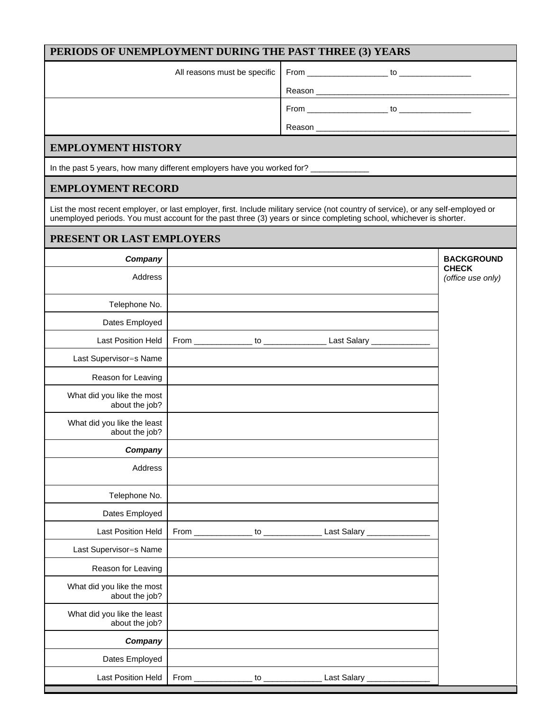## **PERIODS OF UNEMPLOYMENT DURING THE PAST THREE (3) YEARS**

|                           | Reason<br><u> 1989 - John Stone, Amerikaansk politiker (* 1958)</u>    |
|---------------------------|------------------------------------------------------------------------|
|                           |                                                                        |
|                           | Reason<br><u> 1989 - John Stein, Amerikaansk konstantiner (* 1952)</u> |
| <b>EMPLOYMENT HISTORY</b> |                                                                        |

In the past 5 years, how many different employers have you worked for?

#### **EMPLOYMENT RECORD**

List the most recent employer, or last employer, first. Include military service (not country of service), or any self-employed or unemployed periods. You must account for the past three (3) years or since completing school, whichever is shorter.

#### **PRESENT OR LAST EMPLOYERS**

| Company                                       |                               |                                                      |                 | <b>BACKGROUND</b><br><b>CHECK</b> |
|-----------------------------------------------|-------------------------------|------------------------------------------------------|-----------------|-----------------------------------|
| Address                                       |                               |                                                      |                 | (office use only)                 |
| Telephone No.                                 |                               |                                                      |                 |                                   |
| Dates Employed                                |                               |                                                      |                 |                                   |
| Last Position Held                            |                               |                                                      |                 |                                   |
| Last Supervisor=s Name                        |                               |                                                      |                 |                                   |
| Reason for Leaving                            |                               |                                                      |                 |                                   |
| What did you like the most<br>about the job?  |                               |                                                      |                 |                                   |
| What did you like the least<br>about the job? |                               |                                                      |                 |                                   |
| Company                                       |                               |                                                      |                 |                                   |
| Address                                       |                               |                                                      |                 |                                   |
| Telephone No.                                 |                               |                                                      |                 |                                   |
| Dates Employed                                |                               |                                                      |                 |                                   |
| Last Position Held                            |                               |                                                      | _ Last Salary _ |                                   |
| Last Supervisor=s Name                        |                               |                                                      |                 |                                   |
| Reason for Leaving                            |                               |                                                      |                 |                                   |
| What did you like the most<br>about the job?  |                               |                                                      |                 |                                   |
| What did you like the least<br>about the job? |                               |                                                      |                 |                                   |
| Company                                       |                               |                                                      |                 |                                   |
| Dates Employed                                |                               |                                                      |                 |                                   |
| Last Position Held                            | From $\overline{\phantom{0}}$ | $\overline{\phantom{a}}$ to $\overline{\phantom{a}}$ | Last Salary _   |                                   |